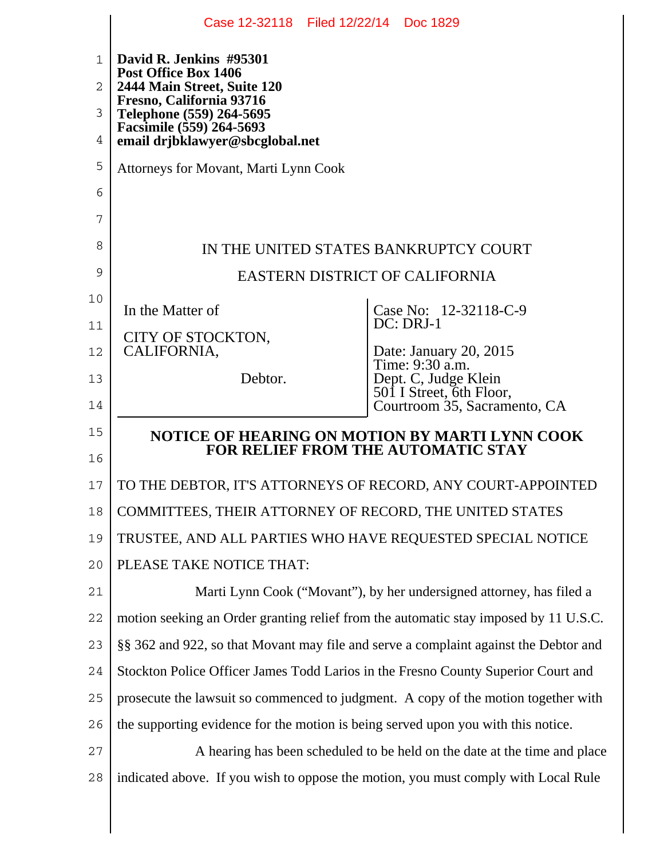|              | Case 12-32118 Filed 12/22/14 Doc 1829                                                       |                                                                      |
|--------------|---------------------------------------------------------------------------------------------|----------------------------------------------------------------------|
| $\mathbf{1}$ | David R. Jenkins #95301<br>Post Office Box 1406                                             |                                                                      |
| 2            | 2444 Main Street, Suite 120<br>Fresno, California 93716                                     |                                                                      |
| 3            | Telephone (559) 264-5695<br>Facsimile (559) 264-5693                                        |                                                                      |
| 4            | email drjbklawyer@sbcglobal.net                                                             |                                                                      |
| 5            | Attorneys for Movant, Marti Lynn Cook                                                       |                                                                      |
| 6            |                                                                                             |                                                                      |
| 7            |                                                                                             |                                                                      |
| 8            | IN THE UNITED STATES BANKRUPTCY COURT                                                       |                                                                      |
| 9            | <b>EASTERN DISTRICT OF CALIFORNIA</b>                                                       |                                                                      |
| 10           | In the Matter of                                                                            | Case No: 12-32118-C-9                                                |
| 11           | CITY OF STOCKTON,                                                                           | DC: DRJ-1                                                            |
| 12           | CALIFORNIA,                                                                                 | Date: January 20, 2015<br>Time: 9:30 a.m.                            |
| 13           | Debtor.                                                                                     | Dept. C, Judge Klein                                                 |
| 14           |                                                                                             | 501 I Street, 6th Floor,<br>Courtroom 35, Sacramento, CA             |
| 15           | NOTICE OF HEARING ON MOTION BY MARTI LYNN COOK<br><b>FOR RELIEF FROM THE AUTOMATIC STAY</b> |                                                                      |
| 16           |                                                                                             |                                                                      |
| 17           | TO THE DEBTOR, IT'S ATTORNEYS OF RECORD, ANY COURT-APPOINTED                                |                                                                      |
| 18           | COMMITTEES, THEIR ATTORNEY OF RECORD, THE UNITED STATES                                     |                                                                      |
| 19           | TRUSTEE, AND ALL PARTIES WHO HAVE REQUESTED SPECIAL NOTICE                                  |                                                                      |
| 20           | PLEASE TAKE NOTICE THAT:                                                                    |                                                                      |
| 21           |                                                                                             | Marti Lynn Cook ("Movant"), by her undersigned attorney, has filed a |
| 22           | motion seeking an Order granting relief from the automatic stay imposed by 11 U.S.C.        |                                                                      |
| 23           | §§ 362 and 922, so that Movant may file and serve a complaint against the Debtor and        |                                                                      |
| 24           | Stockton Police Officer James Todd Larios in the Fresno County Superior Court and           |                                                                      |
| 25           | prosecute the lawsuit so commenced to judgment. A copy of the motion together with          |                                                                      |
| 26           | the supporting evidence for the motion is being served upon you with this notice.           |                                                                      |
| 27           | A hearing has been scheduled to be held on the date at the time and place                   |                                                                      |
| 28           | indicated above. If you wish to oppose the motion, you must comply with Local Rule          |                                                                      |